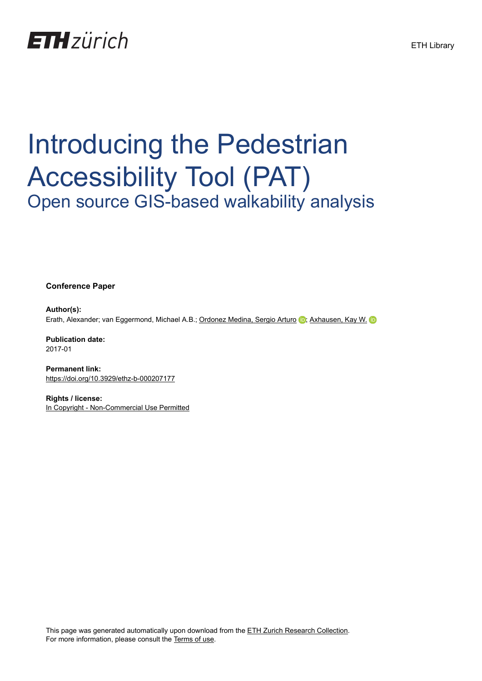## **ETH**zürich

## Introducing the Pedestrian Accessibility Tool (PAT) Open source GIS-based walkability analysis

**Conference Paper**

**Author(s):** Erath, Alexander; van Eggermond, Michael A.B.; [Ordonez Medina, Sergio Arturo](https://orcid.org/0000-0003-3652-2436) in [Axhausen, Kay W.](https://orcid.org/0000-0003-3331-1318) in

**Publication date:** 2017-01

**Permanent link:** <https://doi.org/10.3929/ethz-b-000207177>

**Rights / license:** [In Copyright - Non-Commercial Use Permitted](http://rightsstatements.org/page/InC-NC/1.0/)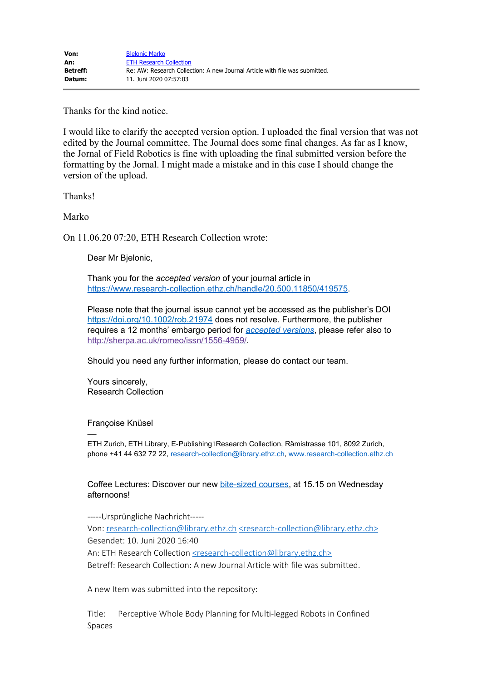Thanks for the kind notice.

I would like to clarify the accepted version option. I uploaded the final version that was not edited by the Journal committee. The Journal does some final changes. As far as I know, the Jornal of Field Robotics is fine with uploading the final submitted version before the formatting by the Jornal. I might made a mistake and in this case I should change the version of the upload.

Thanks!

Marko

On 11.06.20 07:20, ETH Research Collection wrote:

Dear Mr Bjelonic,

Thank you for the *accepted version* of your journal article in <https://www.research-collection.ethz.ch/handle/20.500.11850/419575>.

Please note that the journal issue cannot yet be accessed as the publisher's DOI <https://doi.org/10.1002/rob.21974>does not resolve. Furthermore, the publisher requires a 12 months' embargo period for *[accepted versions](https://documentation.library.ethz.ch/display/RC/Self-archiving)*, please refer also to [http://sherpa.ac.uk/romeo/issn/1556-4959/.](http://sherpa.ac.uk/romeo/issn/1556-4959/)

Should you need any further information, please do contact our team.

Yours sincerely, Research Collection

Françoise Knüsel

— ETH Zurich, ETH Library, E-Publishing½Research Collection, Rämistrasse 101, 8092 Zurich, phone +41 44 632 72 22, [research-collection@library.ethz.ch](mailto:research-collection@library.ethz.ch), [www.research-collection.ethz.ch](http://www.research-collection.ethz.ch/)

Coffee Lectures: Discover our new [bite-sized courses](http://www.library.ethz.ch/en/About-us/News/Coffee-Lectures-new-online-courses), at 15.15 on Wednesday afternoons!

-----Ursprüngliche Nachricht----- Von: research-collection@library.ethz.ch [<research-collection@library.ethz.ch>](mailto:research-collection@library.ethz.ch) Gesendet: 10. Juni 2020 16:40 An: ETH Research Collection [<research-collection@library.ethz.ch>](mailto:research-collection@library.ethz.ch) Betreff: Research Collection: A new Journal Article with file was submitted.

A new Item was submitted into the repository:

Title: Perceptive Whole Body Planning for Multi-legged Robots in Confined Spaces